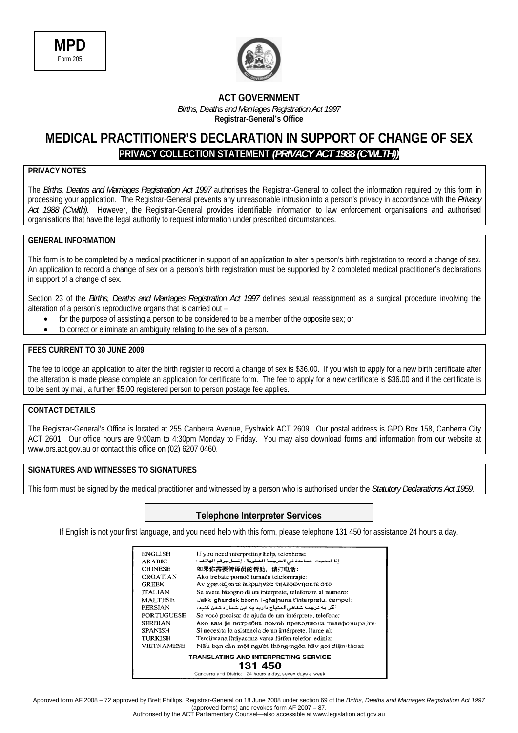



#### **ACT GOVERNMENT**  *Births, Deaths and Marriages Registration Act 1997*  **Registrar-General's Office**

### **MEDICAL PRACTITIONER'S DECLARATION IN SUPPORT OF CHANGE OF SEX PRIVACY COLLECTION STATEMENT** *(PRIVACY ACT 1988 (C'WLTH))*

### **PRIVACY NOTES**

The *Births, Deaths and Marriages Registration Act 1997* authorises the Registrar-General to collect the information required by this form in processing your application. The Registrar-General prevents any unreasonable intrusion into a person's privacy in accordance with the *Privacy Act 1988 (C'wlth).* However, the Registrar-General provides identifiable information to law enforcement organisations and authorised organisations that have the legal authority to request information under prescribed circumstances.

#### **GENERAL INFORMATION**

This form is to be completed by a medical practitioner in support of an application to alter a person's birth registration to record a change of sex. An application to record a change of sex on a person's birth registration must be supported by 2 completed medical practitioner's declarations in support of a change of sex.

Section 23 of the *Births, Deaths and Marriages Registration Act 1997* defines sexual reassignment as a surgical procedure involving the alteration of a person's reproductive organs that is carried out –

- for the purpose of assisting a person to be considered to be a member of the opposite sex; or
- to correct or eliminate an ambiguity relating to the sex of a person.

#### **FEES CURRENT TO 30 JUNE 2009**

The fee to lodge an application to alter the birth register to record a change of sex is \$36.00. If you wish to apply for a new birth certificate after the alteration is made please complete an application for certificate form. The fee to apply for a new certificate is \$36.00 and if the certificate is to be sent by mail, a further \$5.00 registered person to person postage fee applies.

#### **CONTACT DETAILS**

The Registrar-General's Office is located at 255 Canberra Avenue, Fyshwick ACT 2609. Our postal address is GPO Box 158, Canberra City ACT 2601. Our office hours are 9:00am to 4:30pm Monday to Friday. You may also download forms and information from our website at www.ors.act.gov.au or contact this office on (02) 6207 0460.

#### **SIGNATURES AND WITNESSES TO SIGNATURES**

This form must be signed by the medical practitioner and witnessed by a person who is authorised under the *Statutory Declarations Act 1959*.

### **Telephone Interpreter Services**

If English is not your first language, and you need help with this form, please telephone 131 450 for assistance 24 hours a day.

| ENGLISH           | If you need interpreting help, telephone:                |  |  |  |
|-------------------|----------------------------------------------------------|--|--|--|
| <b>ARABIC</b>     | إذا احتجت لساعدة في الترجمة الشفوية ، إتصل برقم الهاتف : |  |  |  |
| <b>CHINESE</b>    | 如果你需要传译员的帮助,请打电话:                                        |  |  |  |
| CROATIAN          | Ako trebate pomoć tumača telefonirajte:                  |  |  |  |
| <b>GREEK</b>      | Αν χρειάζεστε διερμηνέα τηλεφωνήσετε στο                 |  |  |  |
| <b>ITALIAN</b>    | Se avete bisogno di un interprete, telefonate al numero: |  |  |  |
| MALTESE           | Jekk ghandek bżonn I-ghajnuna t'interpretu, cempel:      |  |  |  |
| PERSIAN           | اگر به ترجمه شفاهی احتیاج دارید به این شمار ه تلفن کنید: |  |  |  |
| PORTUGUESE        | Se você precisar da ajuda de um intérprete, telefone:    |  |  |  |
| <b>SERBIAN</b>    | Ако вам је потребна помоћ преводиоца телефонирајте,      |  |  |  |
| <b>SPANISH</b>    | Si necesita la asistencia de un intérprete, llame al:    |  |  |  |
| <b>TURKISH</b>    | Tercümana ihtiyacınız varsa lütfen telefon ediniz:       |  |  |  |
| <b>VIETNAMESE</b> | Nếu bạn cần một người thông-ngôn hãy gọi điện-thoại:     |  |  |  |
|                   | TRANSLATING AND INTERPRETING SERVICE                     |  |  |  |
| 131 450           |                                                          |  |  |  |
|                   | Contracts and District Of bases a day cause drug a water |  |  |  |

Approved form AF 2008 – 72 approved by Brett Phillips, Registrar-General on 18 June 2008 under section 69 of the *Births, Deaths and Marriages Registration Act 1997*  (approved forms) and revokes form AF 2007 – 87.

Authorised by the ACT Parliamentary Counsel—also accessible at www.legislation.act.gov.au